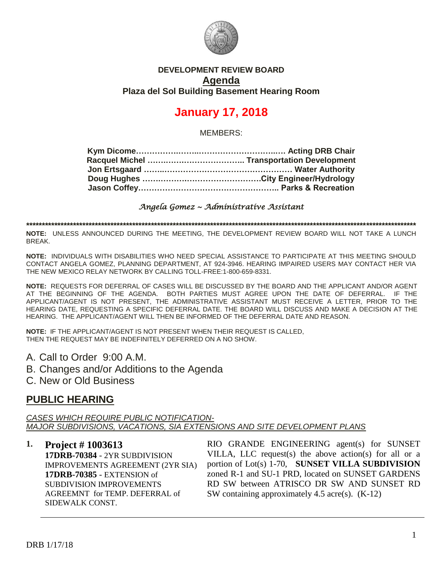

#### **DEVELOPMENT REVIEW BOARD Agenda Plaza del Sol Building Basement Hearing Room**

# **January 17, 2018**

MEMBERS:

*Angela Gomez ~ Administrative Assistant* 

**\*\*\*\*\*\*\*\*\*\*\*\*\*\*\*\*\*\*\*\*\*\*\*\*\*\*\*\*\*\*\*\*\*\*\*\*\*\*\*\*\*\*\*\*\*\*\*\*\*\*\*\*\*\*\*\*\*\*\*\*\*\*\*\*\*\*\*\*\*\*\*\*\*\*\*\*\*\*\*\*\*\*\*\*\*\*\*\*\*\*\*\*\*\*\*\*\*\*\*\*\*\*\*\*\*\*\*\*\*\*\*\*\*\*\*\*\*\*\*\*\*\*\*\*\***

**NOTE:** UNLESS ANNOUNCED DURING THE MEETING, THE DEVELOPMENT REVIEW BOARD WILL NOT TAKE A LUNCH BREAK.

**NOTE:** INDIVIDUALS WITH DISABILITIES WHO NEED SPECIAL ASSISTANCE TO PARTICIPATE AT THIS MEETING SHOULD CONTACT ANGELA GOMEZ, PLANNING DEPARTMENT, AT 924-3946. HEARING IMPAIRED USERS MAY CONTACT HER VIA THE NEW MEXICO RELAY NETWORK BY CALLING TOLL-FREE:1-800-659-8331.

**NOTE:** REQUESTS FOR DEFERRAL OF CASES WILL BE DISCUSSED BY THE BOARD AND THE APPLICANT AND/OR AGENT AT THE BEGINNING OF THE AGENDA. BOTH PARTIES MUST AGREE UPON THE DATE OF DEFERRAL. IF THE APPLICANT/AGENT IS NOT PRESENT, THE ADMINISTRATIVE ASSISTANT MUST RECEIVE A LETTER, PRIOR TO THE HEARING DATE, REQUESTING A SPECIFIC DEFERRAL DATE. THE BOARD WILL DISCUSS AND MAKE A DECISION AT THE HEARING. THE APPLICANT/AGENT WILL THEN BE INFORMED OF THE DEFERRAL DATE AND REASON.

**NOTE:** IF THE APPLICANT/AGENT IS NOT PRESENT WHEN THEIR REQUEST IS CALLED, THEN THE REQUEST MAY BE INDEFINITELY DEFERRED ON A NO SHOW.

A. Call to Order 9:00 A.M.

B. Changes and/or Additions to the Agenda

C. New or Old Business

## **PUBLIC HEARING**

*CASES WHICH REQUIRE PUBLIC NOTIFICATION-MAJOR SUBDIVISIONS, VACATIONS, SIA EXTENSIONS AND SITE DEVELOPMENT PLANS*

**1. Project # 1003613 17DRB-70384** - 2YR SUBDIVISION IMPROVEMENTS AGREEMENT (2YR SIA) **17DRB-70385** - EXTENSION of SUBDIVISION IMPROVEMENTS AGREEMNT for TEMP. DEFERRAL of SIDEWALK CONST.

RIO GRANDE ENGINEERING agent(s) for SUNSET VILLA, LLC request(s) the above action(s) for all or a portion of Lot(s) 1-70, **SUNSET VILLA SUBDIVISION** zoned R-1 and SU-1 PRD, located on SUNSET GARDENS RD SW between ATRISCO DR SW AND SUNSET RD SW containing approximately 4.5 acre(s). (K-12)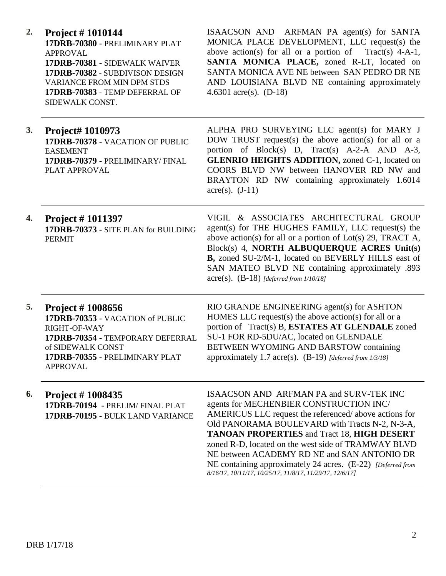| 2. | <b>Project</b> # $1010144$<br>17DRB-70380 - PRELIMINARY PLAT<br><b>APPROVAL</b><br>17DRB-70381 - SIDEWALK WAIVER<br>17DRB-70382 - SUBDIVISON DESIGN<br><b>VARIANCE FROM MIN DPM STDS</b><br>17DRB-70383 - TEMP DEFERRAL OF<br>SIDEWALK CONST. | ISAACSON AND ARFMAN PA agent(s) for SANTA<br>MONICA PLACE DEVELOPMENT, LLC request(s) the<br>above action(s) for all or a portion of Tract(s) $4-A-1$ ,<br>SANTA MONICA PLACE, zoned R-LT, located on<br>SANTA MONICA AVE NE between SAN PEDRO DR NE<br>AND LOUISIANA BLVD NE containing approximately<br>4.6301 acre(s). $(D-18)$                                                                                                                                                   |
|----|-----------------------------------------------------------------------------------------------------------------------------------------------------------------------------------------------------------------------------------------------|--------------------------------------------------------------------------------------------------------------------------------------------------------------------------------------------------------------------------------------------------------------------------------------------------------------------------------------------------------------------------------------------------------------------------------------------------------------------------------------|
| 3. | Project# 1010973<br>17DRB-70378 - VACATION OF PUBLIC<br><b>EASEMENT</b><br>17DRB-70379 - PRELIMINARY/FINAL<br>PLAT APPROVAL                                                                                                                   | ALPHA PRO SURVEYING LLC agent(s) for MARY J<br>DOW TRUST request(s) the above action(s) for all or a<br>portion of Block(s) D, Tract(s) A-2-A AND A-3,<br><b>GLENRIO HEIGHTS ADDITION, zoned C-1, located on</b><br>COORS BLVD NW between HANOVER RD NW and<br>BRAYTON RD NW containing approximately 1.6014<br>$\text{acre}(s)$ . $(J-11)$                                                                                                                                          |
| 4. | <b>Project #1011397</b><br>17DRB-70373 - SITE PLAN for BUILDING<br><b>PERMIT</b>                                                                                                                                                              | VIGIL & ASSOCIATES ARCHITECTURAL GROUP<br>agent(s) for THE HUGHES FAMILY, LLC request(s) the<br>above action(s) for all or a portion of $Lot(s)$ 29, TRACT A,<br>Block(s) 4, NORTH ALBUQUERQUE ACRES Unit(s)<br>B, zoned SU-2/M-1, located on BEVERLY HILLS east of<br>SAN MATEO BLVD NE containing approximately .893<br>$acre(s)$ . (B-18) [deferred from 1/10/18]                                                                                                                 |
| 5. | <b>Project #1008656</b><br>17DRB-70353 - VACATION of PUBLIC<br>RIGHT-OF-WAY<br>17DRB-70354 - TEMPORARY DEFERRAL<br>of SIDEWALK CONST<br>17DRB-70355 - PRELIMINARY PLAT<br><b>APPROVAL</b>                                                     | RIO GRANDE ENGINEERING agent(s) for ASHTON<br>HOMES LLC request(s) the above action(s) for all or a<br>portion of Tract(s) B, ESTATES AT GLENDALE zoned<br>SU-1 FOR RD-5DU/AC, located on GLENDALE<br><b>BETWEEN WYOMING AND BARSTOW containing</b><br>approximately 1.7 acre(s). $(B-19)$ [deferred from 1/3/18]                                                                                                                                                                    |
| 6. | <b>Project #1008435</b><br>17DRB-70194 - PRELIM/FINAL PLAT<br>17DRB-70195 - BULK LAND VARIANCE                                                                                                                                                | ISAACSON AND ARFMAN PA and SURV-TEK INC<br>agents for MECHENBIER CONSTRUCTION INC/<br>AMERICUS LLC request the referenced/above actions for<br>Old PANORAMA BOULEVARD with Tracts N-2, N-3-A,<br><b>TANOAN PROPERTIES and Tract 18, HIGH DESERT</b><br>zoned R-D, located on the west side of TRAMWAY BLVD<br>NE between ACADEMY RD NE and SAN ANTONIO DR<br>NE containing approximately 24 acres. (E-22) [Deferred from<br>8/16/17, 10/11/17, 10/25/17, 11/8/17, 11/29/17, 12/6/17] |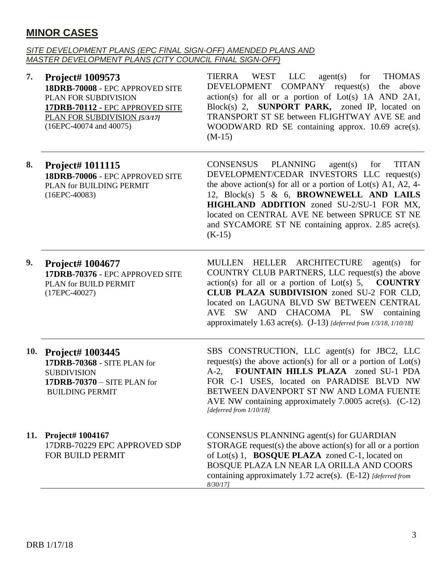# **MINOR CASES**

#### *SITE DEVELOPMENT PLANS (EPC FINAL SIGN-OFF) AMENDED PLANS AND MASTER DEVELOPMENT PLANS (CITY COUNCIL FINAL SIGN-OFF)*

| 7.  | Project# 1009573<br>18DRB-70008 - EPC APPROVED SITE<br>PLAN FOR SUBDIVISION<br>17DRB-70112 - EPC APPROVED SITE<br>PLAN FOR SUBDIVISION [5/3/17]<br>(16EPC-40074 and 40075) | WEST LLC agent(s) for<br>TIERRA<br><b>THOMAS</b><br>DEVELOPMENT COMPANY request(s) the<br>above<br>action(s) for all or a portion of Lot(s) 1A AND 2A1,<br>Block(s) 2, SUNPORT PARK, zoned IP, located on<br>TRANSPORT ST SE between FLIGHTWAY AVE SE and<br>WOODWARD RD SE containing approx. 10.69 acre(s).<br>$(M-15)$                                                                           |
|-----|----------------------------------------------------------------------------------------------------------------------------------------------------------------------------|-----------------------------------------------------------------------------------------------------------------------------------------------------------------------------------------------------------------------------------------------------------------------------------------------------------------------------------------------------------------------------------------------------|
| 8.  | Project# 1011115<br>18DRB-70006 - EPC APPROVED SITE<br>PLAN for BUILDING PERMIT<br>$(16EPC-40083)$                                                                         | <b>PLANNING</b><br><b>CONSENSUS</b><br><b>TITAN</b><br>agent(s)<br>for<br>DEVELOPMENT/CEDAR INVESTORS LLC request(s)<br>the above action(s) for all or a portion of Lot(s) A1, A2, 4-<br>12, Block(s) 5 & 6, BROWNEWELL AND LAILS<br>HIGHLAND ADDITION zoned SU-2/SU-1 FOR MX,<br>located on CENTRAL AVE NE between SPRUCE ST NE<br>and SYCAMORE ST NE containing approx. 2.85 acre(s).<br>$(K-15)$ |
| 9.  | <b>Project# 1004677</b><br>17DRB-70376 - EPC APPROVED SITE<br>PLAN for BUILD PERMIT<br>$(17EPC-40027)$                                                                     | MULLEN HELLER ARCHITECTURE<br>$agent(s)$ for<br>COUNTRY CLUB PARTNERS, LLC request(s) the above<br>$action(s)$ for all or a portion of Lot(s) 5,<br><b>COUNTRY</b><br>CLUB PLAZA SUBDIVISION zoned SU-2 FOR CLD,<br>located on LAGUNA BLVD SW BETWEEN CENTRAL<br>AVE SW AND CHACOMA PL SW containing<br>approximately 1.63 acre(s). $(J-13)$ [deferred from 1/3/18, 1/10/18]                        |
|     | 10. Project# 1003445<br>17DRB-70368 - SITE PLAN for<br><b>SUBDIVISION</b><br>17DRB-70370 - SITE PLAN for<br><b>BUILDING PERMIT</b>                                         | SBS CONSTRUCTION, LLC agent(s) for JBC2, LLC<br>request(s) the above action(s) for all or a portion of $Lot(s)$<br>A-2, FOUNTAIN HILLS PLAZA zoned SU-1 PDA<br>FOR C-1 USES, located on PARADISE BLVD NW<br>BETWEEN DAVENPORT ST NW AND LOMA FUENTE<br>AVE NW containing approximately $7.0005$ acre(s). (C-12)<br>[deferred from 1/10/18]                                                          |
| 11. | Project# 1004167<br>17DRB-70229 EPC APPROVED SDP<br>FOR BUILD PERMIT                                                                                                       | CONSENSUS PLANNING agent(s) for GUARDIAN<br>STORAGE request(s) the above action(s) for all or a portion<br>of Lot(s) 1, <b>BOSQUE PLAZA</b> zoned C-1, located on<br>BOSQUE PLAZA LN NEAR LA ORILLA AND COORS<br>containing approximately 1.72 acre(s). $(E-12)$ [deferred from<br>$8/30/17$ ]                                                                                                      |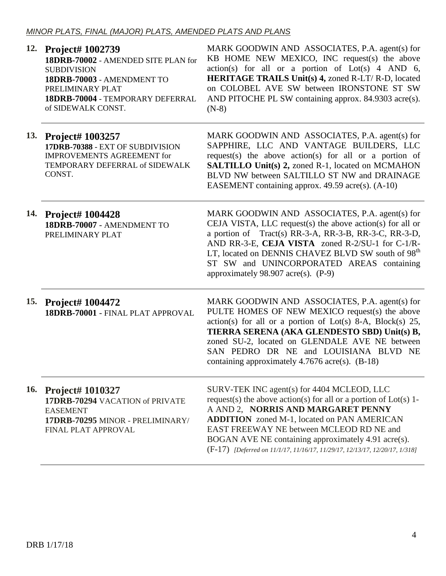|            | 12. Project# 1002739<br>18DRB-70002 - AMENDED SITE PLAN for<br><b>SUBDIVISION</b><br>18DRB-70003 - AMENDMENT TO<br>PRELIMINARY PLAT<br>18DRB-70004 - TEMPORARY DEFERRAL<br>of SIDEWALK CONST. | MARK GOODWIN AND ASSOCIATES, P.A. agent(s) for<br>KB HOME NEW MEXICO, INC request(s) the above<br>$action(s)$ for all or a portion of $Lot(s)$ 4 AND 6,<br><b>HERITAGE TRAILS Unit(s) 4, zoned R-LT/ R-D, located</b><br>on COLOBEL AVE SW between IRONSTONE ST SW<br>AND PITOCHE PL SW containing approx. 84.9303 acre(s).<br>$(N-8)$                                                         |
|------------|-----------------------------------------------------------------------------------------------------------------------------------------------------------------------------------------------|------------------------------------------------------------------------------------------------------------------------------------------------------------------------------------------------------------------------------------------------------------------------------------------------------------------------------------------------------------------------------------------------|
|            | 13. Project# 1003257<br>17DRB-70388 - EXT OF SUBDIVISION<br><b>IMPROVEMENTS AGREEMENT for</b><br>TEMPORARY DEFERRAL of SIDEWALK<br>CONST.                                                     | MARK GOODWIN AND ASSOCIATES, P.A. agent(s) for<br>SAPPHIRE, LLC AND VANTAGE BUILDERS, LLC<br>request(s) the above $action(s)$ for all or a portion of<br><b>SALTILLO Unit(s) 2, zoned R-1, located on MCMAHON</b><br>BLVD NW between SALTILLO ST NW and DRAINAGE<br>EASEMENT containing approx. 49.59 acre(s). (A-10)                                                                          |
|            | 14. Project# 1004428<br>18DRB-70007 - AMENDMENT TO<br>PRELIMINARY PLAT                                                                                                                        | MARK GOODWIN AND ASSOCIATES, P.A. agent(s) for<br>CEJA VISTA, LLC request(s) the above action(s) for all or<br>a portion of Tract(s) RR-3-A, RR-3-B, RR-3-C, RR-3-D,<br>AND RR-3-E, CEJA VISTA zoned R-2/SU-1 for C-1/R-<br>LT, located on DENNIS CHAVEZ BLVD SW south of 98 <sup>th</sup><br>ST SW and UNINCORPORATED AREAS containing<br>approximately 98.907 acre(s). $(P-9)$               |
|            | 15. Project# 1004472<br>18DRB-70001 - FINAL PLAT APPROVAL                                                                                                                                     | MARK GOODWIN AND ASSOCIATES, P.A. agent(s) for<br>PULTE HOMES OF NEW MEXICO request(s) the above<br>$action(s)$ for all or a portion of Lot(s) 8-A, Block(s) 25,<br>TIERRA SERENA (AKA GLENDESTO SBD) Unit(s) B,<br>zoned SU-2, located on GLENDALE AVE NE between<br>SAN PEDRO DR NE and LOUISIANA BLVD NE<br>containing approximately 4.7676 acre(s). (B-18)                                 |
| <b>16.</b> | <b>Project# 1010327</b><br>17DRB-70294 VACATION of PRIVATE<br><b>EASEMENT</b><br>17DRB-70295 MINOR - PRELIMINARY/<br>FINAL PLAT APPROVAL                                                      | SURV-TEK INC agent(s) for 4404 MCLEOD, LLC<br>request(s) the above action(s) for all or a portion of $Lot(s)$ 1-<br>A AND 2, NORRIS AND MARGARET PENNY<br><b>ADDITION</b> zoned M-1, located on PAN AMERICAN<br>EAST FREEWAY NE between MCLEOD RD NE and<br>BOGAN AVE NE containing approximately 4.91 acre(s).<br>(F-17) [Deferred on 11/1/17, 11/16/17, 11/29/17, 12/13/17, 12/20/17, 1/318] |